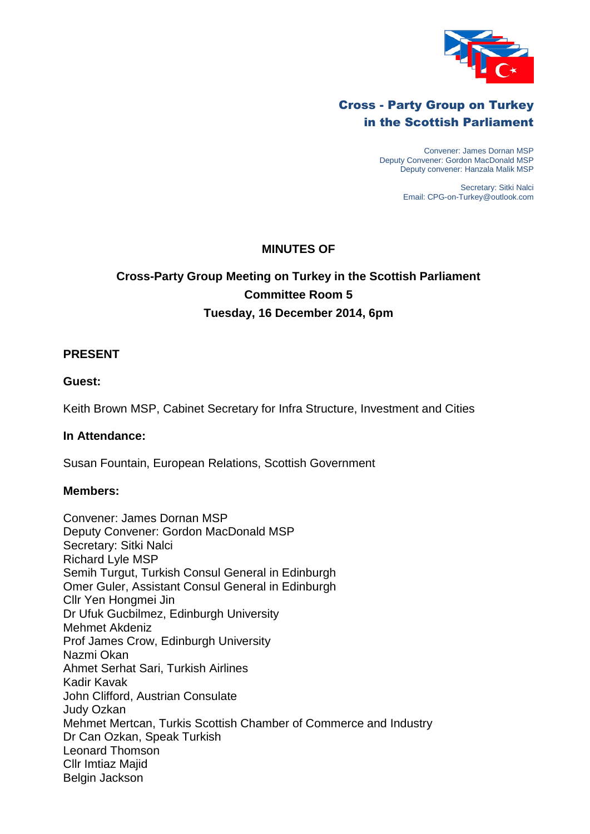

## Cross - Party Group on Turkey in the Scottish Parliament

Convener: James Dornan MSP Deputy Convener: Gordon MacDonald MSP Deputy convener: Hanzala Malik MSP

> Secretary: Sitki Nalci Email: CPG-on-Turkey@outlook.com

## **MINUTES OF**

# **Cross-Party Group Meeting on Turkey in the Scottish Parliament Committee Room 5 Tuesday, 16 December 2014, 6pm**

### **PRESENT**

### **Guest:**

Keith Brown MSP, Cabinet Secretary for Infra Structure, Investment and Cities

#### **In Attendance:**

Susan Fountain, European Relations, Scottish Government

#### **Members:**

Convener: James Dornan MSP Deputy Convener: Gordon MacDonald MSP Secretary: Sitki Nalci Richard Lyle MSP Semih Turgut, Turkish Consul General in Edinburgh Omer Guler, Assistant Consul General in Edinburgh Cllr Yen Hongmei Jin Dr Ufuk Gucbilmez, Edinburgh University Mehmet Akdeniz Prof James Crow, Edinburgh University Nazmi Okan Ahmet Serhat Sari, Turkish Airlines Kadir Kavak John Clifford, Austrian Consulate Judy Ozkan Mehmet Mertcan, Turkis Scottish Chamber of Commerce and Industry Dr Can Ozkan, Speak Turkish Leonard Thomson Cllr Imtiaz Majid Belgin Jackson